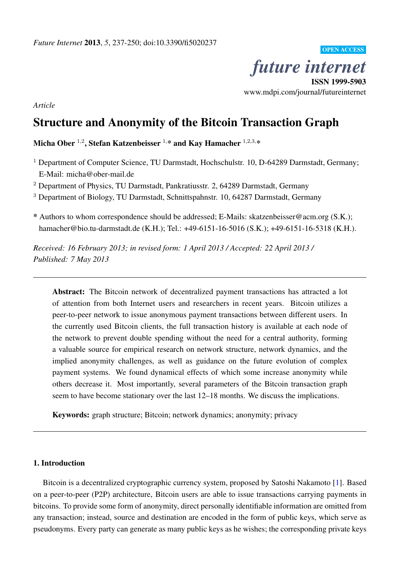*future internet* ISSN 1999-5903

OPEN ACCESS

www.mdpi.com/journal/futureinternet

*Article*

# Structure and Anonymity of the Bitcoin Transaction Graph

Micha Ober  $^{1,2}$ , Stefan Katzenbeisser  $^{1,\ast}$  and Kay Hamacher  $^{1,2,3,\ast}$ 

<sup>1</sup> Department of Computer Science, TU Darmstadt, Hochschulstr. 10, D-64289 Darmstadt, Germany; E-Mail: micha@ober-mail.de

<sup>2</sup> Department of Physics, TU Darmstadt, Pankratiusstr. 2, 64289 Darmstadt, Germany

<sup>3</sup> Department of Biology, TU Darmstadt, Schnittspahnstr. 10, 64287 Darmstadt, Germany

\* Authors to whom correspondence should be addressed; E-Mails: skatzenbeisser@acm.org (S.K.); hamacher@bio.tu-darmstadt.de (K.H.); Tel.: +49-6151-16-5016 (S.K.); +49-6151-16-5318 (K.H.).

*Received: 16 February 2013; in revised form: 1 April 2013 / Accepted: 22 April 2013 / Published: 7 May 2013*

Abstract: The Bitcoin network of decentralized payment transactions has attracted a lot of attention from both Internet users and researchers in recent years. Bitcoin utilizes a peer-to-peer network to issue anonymous payment transactions between different users. In the currently used Bitcoin clients, the full transaction history is available at each node of the network to prevent double spending without the need for a central authority, forming a valuable source for empirical research on network structure, network dynamics, and the implied anonymity challenges, as well as guidance on the future evolution of complex payment systems. We found dynamical effects of which some increase anonymity while others decrease it. Most importantly, several parameters of the Bitcoin transaction graph seem to have become stationary over the last 12–18 months. We discuss the implications.

Keywords: graph structure; Bitcoin; network dynamics; anonymity; privacy

#### 1. Introduction

Bitcoin is a decentralized cryptographic currency system, proposed by Satoshi Nakamoto [\[1\]](#page-12-0). Based on a peer-to-peer (P2P) architecture, Bitcoin users are able to issue transactions carrying payments in bitcoins. To provide some form of anonymity, direct personally identifiable information are omitted from any transaction; instead, source and destination are encoded in the form of public keys, which serve as pseudonyms. Every party can generate as many public keys as he wishes; the corresponding private keys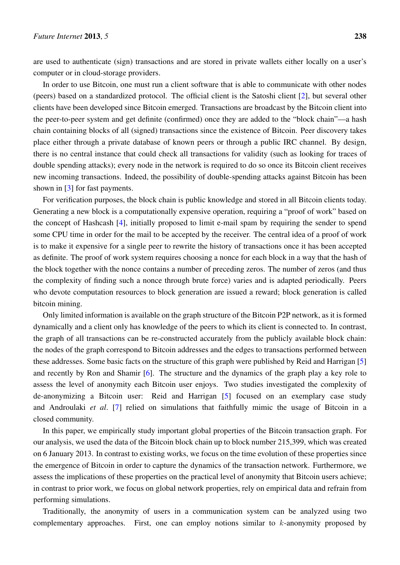are used to authenticate (sign) transactions and are stored in private wallets either locally on a user's computer or in cloud-storage providers.

In order to use Bitcoin, one must run a client software that is able to communicate with other nodes (peers) based on a standardized protocol. The official client is the Satoshi client [\[2\]](#page-12-1), but several other clients have been developed since Bitcoin emerged. Transactions are broadcast by the Bitcoin client into the peer-to-peer system and get definite (confirmed) once they are added to the "block chain"—a hash chain containing blocks of all (signed) transactions since the existence of Bitcoin. Peer discovery takes place either through a private database of known peers or through a public IRC channel. By design, there is no central instance that could check all transactions for validity (such as looking for traces of double spending attacks); every node in the network is required to do so once its Bitcoin client receives new incoming transactions. Indeed, the possibility of double-spending attacks against Bitcoin has been shown in [\[3\]](#page-12-2) for fast payments.

For verification purposes, the block chain is public knowledge and stored in all Bitcoin clients today. Generating a new block is a computationally expensive operation, requiring a "proof of work" based on the concept of Hashcash [\[4\]](#page-12-3), initially proposed to limit e-mail spam by requiring the sender to spend some CPU time in order for the mail to be accepted by the receiver. The central idea of a proof of work is to make it expensive for a single peer to rewrite the history of transactions once it has been accepted as definite. The proof of work system requires choosing a nonce for each block in a way that the hash of the block together with the nonce contains a number of preceding zeros. The number of zeros (and thus the complexity of finding such a nonce through brute force) varies and is adapted periodically. Peers who devote computation resources to block generation are issued a reward; block generation is called bitcoin mining.

Only limited information is available on the graph structure of the Bitcoin P2P network, as it is formed dynamically and a client only has knowledge of the peers to which its client is connected to. In contrast, the graph of all transactions can be re-constructed accurately from the publicly available block chain: the nodes of the graph correspond to Bitcoin addresses and the edges to transactions performed between these addresses. Some basic facts on the structure of this graph were published by Reid and Harrigan [\[5\]](#page-12-4) and recently by Ron and Shamir [\[6\]](#page-12-5). The structure and the dynamics of the graph play a key role to assess the level of anonymity each Bitcoin user enjoys. Two studies investigated the complexity of de-anonymizing a Bitcoin user: Reid and Harrigan [\[5\]](#page-12-4) focused on an exemplary case study and Androulaki *et al*. [\[7\]](#page-12-6) relied on simulations that faithfully mimic the usage of Bitcoin in a closed community.

In this paper, we empirically study important global properties of the Bitcoin transaction graph. For our analysis, we used the data of the Bitcoin block chain up to block number 215,399, which was created on 6 January 2013. In contrast to existing works, we focus on the time evolution of these properties since the emergence of Bitcoin in order to capture the dynamics of the transaction network. Furthermore, we assess the implications of these properties on the practical level of anonymity that Bitcoin users achieve; in contrast to prior work, we focus on global network properties, rely on empirical data and refrain from performing simulations.

Traditionally, the anonymity of users in a communication system can be analyzed using two complementary approaches. First, one can employ notions similar to k-anonymity proposed by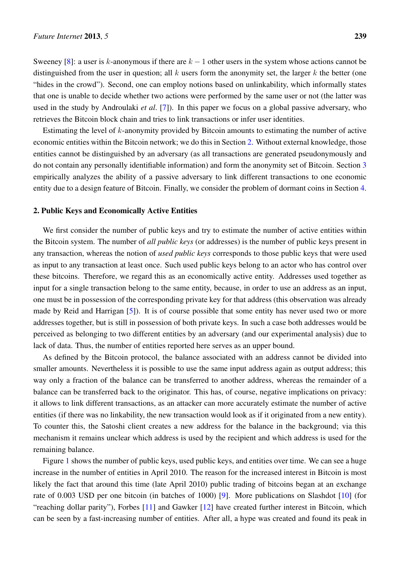Sweeney [\[8\]](#page-12-7): a user is k-anonymous if there are  $k - 1$  other users in the system whose actions cannot be distinguished from the user in question; all k users form the anonymity set, the larger k the better (one "hides in the crowd"). Second, one can employ notions based on unlinkability, which informally states that one is unable to decide whether two actions were performed by the same user or not (the latter was used in the study by Androulaki *et al*. [\[7\]](#page-12-6)). In this paper we focus on a global passive adversary, who retrieves the Bitcoin block chain and tries to link transactions or infer user identities.

Estimating the level of k-anonymity provided by Bitcoin amounts to estimating the number of active economic entities within the Bitcoin network; we do this in Section [2.](#page-2-0) Without external knowledge, those entities cannot be distinguished by an adversary (as all transactions are generated pseudonymously and do not contain any personally identifiable information) and form the anonymity set of Bitcoin. Section [3](#page-9-0) empirically analyzes the ability of a passive adversary to link different transactions to one economic entity due to a design feature of Bitcoin. Finally, we consider the problem of dormant coins in Section [4.](#page-10-0)

#### <span id="page-2-0"></span>2. Public Keys and Economically Active Entities

We first consider the number of public keys and try to estimate the number of active entities within the Bitcoin system. The number of *all public keys* (or addresses) is the number of public keys present in any transaction, whereas the notion of *used public keys* corresponds to those public keys that were used as input to any transaction at least once. Such used public keys belong to an actor who has control over these bitcoins. Therefore, we regard this as an economically active entity. Addresses used together as input for a single transaction belong to the same entity, because, in order to use an address as an input, one must be in possession of the corresponding private key for that address (this observation was already made by Reid and Harrigan [\[5\]](#page-12-4)). It is of course possible that some entity has never used two or more addresses together, but is still in possession of both private keys. In such a case both addresses would be perceived as belonging to two different entities by an adversary (and our experimental analysis) due to lack of data. Thus, the number of entities reported here serves as an upper bound.

As defined by the Bitcoin protocol, the balance associated with an address cannot be divided into smaller amounts. Nevertheless it is possible to use the same input address again as output address; this way only a fraction of the balance can be transferred to another address, whereas the remainder of a balance can be transferred back to the originator. This has, of course, negative implications on privacy: it allows to link different transactions, as an attacker can more accurately estimate the number of active entities (if there was no linkability, the new transaction would look as if it originated from a new entity). To counter this, the Satoshi client creates a new address for the balance in the background; via this mechanism it remains unclear which address is used by the recipient and which address is used for the remaining balance.

Figure [1](#page-3-0) shows the number of public keys, used public keys, and entities over time. We can see a huge increase in the number of entities in April 2010. The reason for the increased interest in Bitcoin is most likely the fact that around this time (late April 2010) public trading of bitcoins began at an exchange rate of 0.003 USD per one bitcoin (in batches of 1000) [\[9\]](#page-12-8). More publications on Slashdot [\[10\]](#page-12-9) (for "reaching dollar parity"), Forbes [\[11\]](#page-13-0) and Gawker [\[12\]](#page-13-1) have created further interest in Bitcoin, which can be seen by a fast-increasing number of entities. After all, a hype was created and found its peak in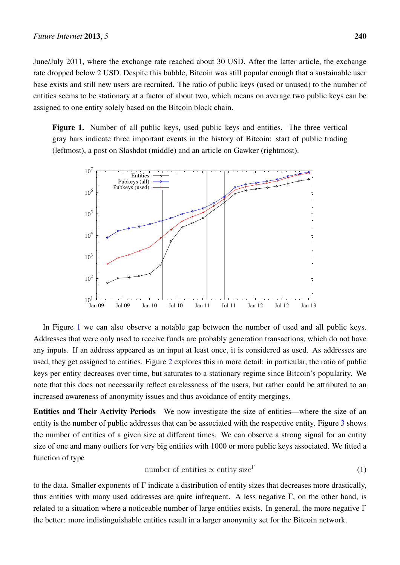June/July 2011, where the exchange rate reached about 30 USD. After the latter article, the exchange rate dropped below 2 USD. Despite this bubble, Bitcoin was still popular enough that a sustainable user base exists and still new users are recruited. The ratio of public keys (used or unused) to the number of entities seems to be stationary at a factor of about two, which means on average two public keys can be assigned to one entity solely based on the Bitcoin block chain.

<span id="page-3-0"></span>Figure 1. Number of all public keys, used public keys and entities. The three vertical gray bars indicate three important events in the history of Bitcoin: start of public trading (leftmost), a post on Slashdot (middle) and an article on Gawker (rightmost).



In Figure [1](#page-3-0) we can also observe a notable gap between the number of used and all public keys. Addresses that were only used to receive funds are probably generation transactions, which do not have any inputs. If an address appeared as an input at least once, it is considered as used. As addresses are used, they get assigned to entities. Figure [2](#page-4-0) explores this in more detail: in particular, the ratio of public keys per entity decreases over time, but saturates to a stationary regime since Bitcoin's popularity. We note that this does not necessarily reflect carelessness of the users, but rather could be attributed to an increased awareness of anonymity issues and thus avoidance of entity mergings.

Entities and Their Activity Periods We now investigate the size of entities—where the size of an entity is the number of public addresses that can be associated with the respective entity. Figure [3](#page-5-0) shows the number of entities of a given size at different times. We can observe a strong signal for an entity size of one and many outliers for very big entities with 1000 or more public keys associated. We fitted a function of type

<span id="page-3-1"></span>number of entities 
$$
\propto
$$
 entity size<sup>Γ</sup> (1)

to the data. Smaller exponents of Γ indicate a distribution of entity sizes that decreases more drastically, thus entities with many used addresses are quite infrequent. A less negative  $\Gamma$ , on the other hand, is related to a situation where a noticeable number of large entities exists. In general, the more negative  $\Gamma$ the better: more indistinguishable entities result in a larger anonymity set for the Bitcoin network.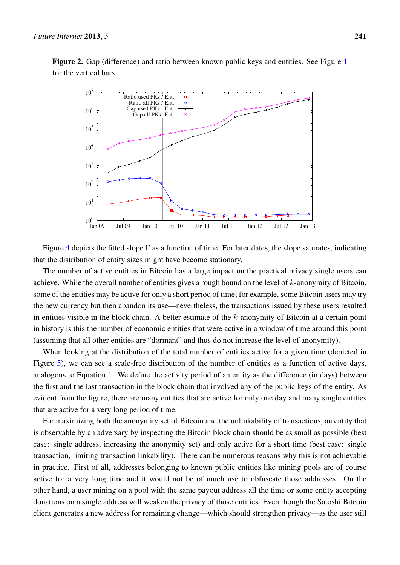<span id="page-4-0"></span>Figure 2. Gap (difference) and ratio between known public keys and entities. See Figure [1](#page-3-0) for the vertical bars.



Figure [4](#page-6-0) depicts the fitted slope  $\Gamma$  as a function of time. For later dates, the slope saturates, indicating that the distribution of entity sizes might have become stationary.

The number of active entities in Bitcoin has a large impact on the practical privacy single users can achieve. While the overall number of entities gives a rough bound on the level of k-anonymity of Bitcoin, some of the entities may be active for only a short period of time; for example, some Bitcoin users may try the new currency but then abandon its use—nevertheless, the transactions issued by these users resulted in entities visible in the block chain. A better estimate of the k-anonymity of Bitcoin at a certain point in history is this the number of economic entities that were active in a window of time around this point (assuming that all other entities are "dormant" and thus do not increase the level of anonymity).

When looking at the distribution of the total number of entities active for a given time (depicted in Figure [5\)](#page-6-1), we can see a scale-free distribution of the number of entities as a function of active days, analogous to Equation [1.](#page-3-1) We define the activity period of an entity as the difference (in days) between the first and the last transaction in the block chain that involved any of the public keys of the entity. As evident from the figure, there are many entities that are active for only one day and many single entities that are active for a very long period of time.

For maximizing both the anonymity set of Bitcoin and the unlinkability of transactions, an entity that is observable by an adversary by inspecting the Bitcoin block chain should be as small as possible (best case: single address, increasing the anonymity set) and only active for a short time (best case: single transaction, limiting transaction linkability). There can be numerous reasons why this is not achievable in practice. First of all, addresses belonging to known public entities like mining pools are of course active for a very long time and it would not be of much use to obfuscate those addresses. On the other hand, a user mining on a pool with the same payout address all the time or some entity accepting donations on a single address will weaken the privacy of those entities. Even though the Satoshi Bitcoin client generates a new address for remaining change—which should strengthen privacy—as the user still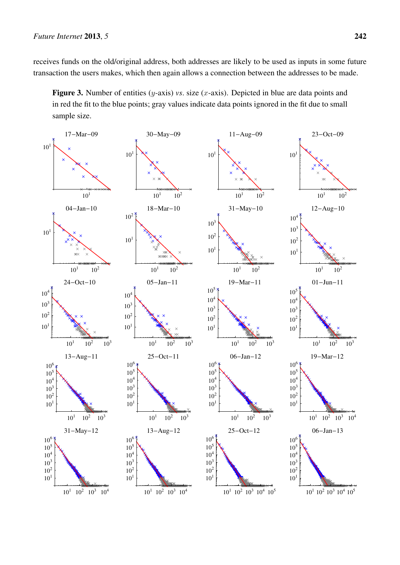receives funds on the old/original address, both addresses are likely to be used as inputs in some future transaction the users makes, which then again allows a connection between the addresses to be made.

<span id="page-5-0"></span>Figure 3. Number of entities (y-axis) *vs.* size (x-axis). Depicted in blue are data points and in red the fit to the blue points; gray values indicate data points ignored in the fit due to small sample size.

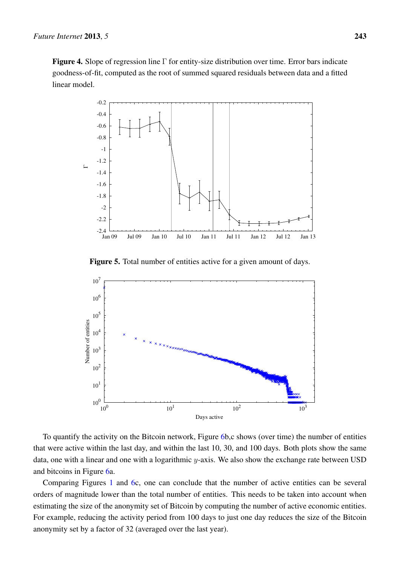<span id="page-6-0"></span>Figure 4. Slope of regression line Γ for entity-size distribution over time. Error bars indicate goodness-of-fit, computed as the root of summed squared residuals between data and a fitted linear model.



Figure 5. Total number of entities active for a given amount of days.

<span id="page-6-1"></span>

To quantify the activity on the Bitcoin network, Figure [6b](#page-7-0),c shows (over time) the number of entities that were active within the last day, and within the last 10, 30, and 100 days. Both plots show the same data, one with a linear and one with a logarithmic y-axis. We also show the exchange rate between USD and bitcoins in Figure [6a](#page-7-0).

Comparing Figures [1](#page-3-0) and [6c](#page-7-0), one can conclude that the number of active entities can be several orders of magnitude lower than the total number of entities. This needs to be taken into account when estimating the size of the anonymity set of Bitcoin by computing the number of active economic entities. For example, reducing the activity period from 100 days to just one day reduces the size of the Bitcoin anonymity set by a factor of 32 (averaged over the last year).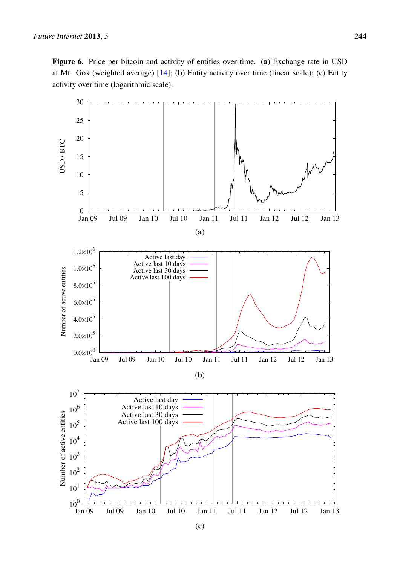<span id="page-7-0"></span>Figure 6. Price per bitcoin and activity of entities over time. (a) Exchange rate in USD at Mt. Gox (weighted average) [\[14\]](#page-13-2); (b) Entity activity over time (linear scale); (c) Entity activity over time (logarithmic scale).

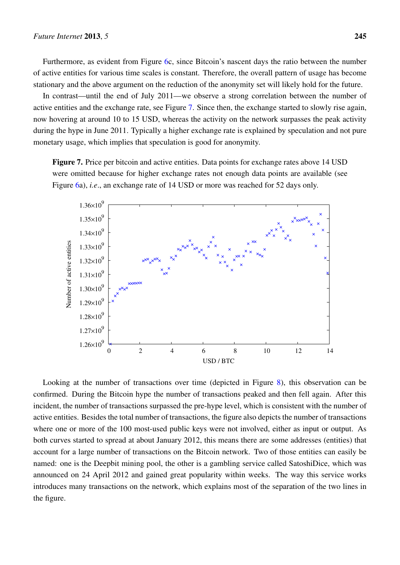Furthermore, as evident from Figure [6c](#page-7-0), since Bitcoin's nascent days the ratio between the number of active entities for various time scales is constant. Therefore, the overall pattern of usage has become stationary and the above argument on the reduction of the anonymity set will likely hold for the future.

In contrast—until the end of July 2011—we observe a strong correlation between the number of active entities and the exchange rate, see Figure [7.](#page-8-0) Since then, the exchange started to slowly rise again, now hovering at around 10 to 15 USD, whereas the activity on the network surpasses the peak activity during the hype in June 2011. Typically a higher exchange rate is explained by speculation and not pure monetary usage, which implies that speculation is good for anonymity.

<span id="page-8-0"></span>Figure 7. Price per bitcoin and active entities. Data points for exchange rates above 14 USD were omitted because for higher exchange rates not enough data points are available (see Figure [6a](#page-7-0)), *i.e*., an exchange rate of 14 USD or more was reached for 52 days only.



Looking at the number of transactions over time (depicted in Figure [8\)](#page-9-1), this observation can be confirmed. During the Bitcoin hype the number of transactions peaked and then fell again. After this incident, the number of transactions surpassed the pre-hype level, which is consistent with the number of active entities. Besides the total number of transactions, the figure also depicts the number of transactions where one or more of the 100 most-used public keys were not involved, either as input or output. As both curves started to spread at about January 2012, this means there are some addresses (entities) that account for a large number of transactions on the Bitcoin network. Two of those entities can easily be named: one is the Deepbit mining pool, the other is a gambling service called SatoshiDice, which was announced on 24 April 2012 and gained great popularity within weeks. The way this service works introduces many transactions on the network, which explains most of the separation of the two lines in the figure.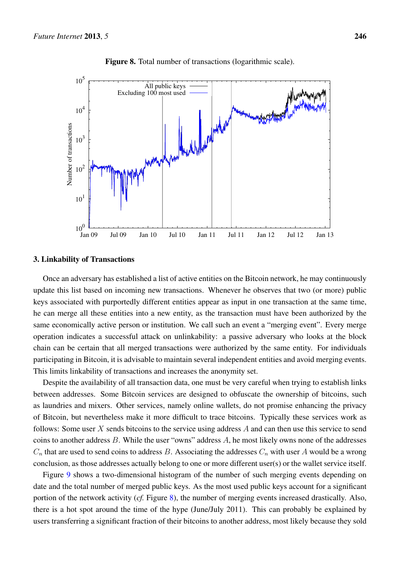<span id="page-9-1"></span>

Figure 8. Total number of transactions (logarithmic scale).

#### <span id="page-9-0"></span>3. Linkability of Transactions

Once an adversary has established a list of active entities on the Bitcoin network, he may continuously update this list based on incoming new transactions. Whenever he observes that two (or more) public keys associated with purportedly different entities appear as input in one transaction at the same time, he can merge all these entities into a new entity, as the transaction must have been authorized by the same economically active person or institution. We call such an event a "merging event". Every merge operation indicates a successful attack on unlinkability: a passive adversary who looks at the block chain can be certain that all merged transactions were authorized by the same entity. For individuals participating in Bitcoin, it is advisable to maintain several independent entities and avoid merging events. This limits linkability of transactions and increases the anonymity set.

Despite the availability of all transaction data, one must be very careful when trying to establish links between addresses. Some Bitcoin services are designed to obfuscate the ownership of bitcoins, such as laundries and mixers. Other services, namely online wallets, do not promise enhancing the privacy of Bitcoin, but nevertheless make it more difficult to trace bitcoins. Typically these services work as follows: Some user  $X$  sends bitcoins to the service using address  $A$  and can then use this service to send coins to another address B. While the user "owns" address A, he most likely owns none of the addresses  $C_n$  that are used to send coins to address B. Associating the addresses  $C_n$  with user A would be a wrong conclusion, as those addresses actually belong to one or more different user(s) or the wallet service itself.

Figure [9](#page-10-1) shows a two-dimensional histogram of the number of such merging events depending on date and the total number of merged public keys. As the most used public keys account for a significant portion of the network activity (*cf.* Figure [8\)](#page-9-1), the number of merging events increased drastically. Also, there is a hot spot around the time of the hype (June/July 2011). This can probably be explained by users transferring a significant fraction of their bitcoins to another address, most likely because they sold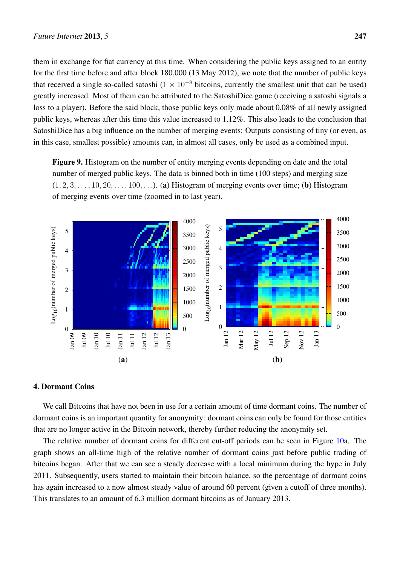them in exchange for fiat currency at this time. When considering the public keys assigned to an entity for the first time before and after block 180,000 (13 May 2012), we note that the number of public keys that received a single so-called satoshi ( $1 \times 10^{-8}$  bitcoins, currently the smallest unit that can be used) greatly increased. Most of them can be attributed to the SatoshiDice game (receiving a satoshi signals a loss to a player). Before the said block, those public keys only made about 0.08% of all newly assigned public keys, whereas after this time this value increased to 1.12%. This also leads to the conclusion that SatoshiDice has a big influence on the number of merging events: Outputs consisting of tiny (or even, as in this case, smallest possible) amounts can, in almost all cases, only be used as a combined input.

<span id="page-10-1"></span>Figure 9. Histogram on the number of entity merging events depending on date and the total number of merged public keys. The data is binned both in time (100 steps) and merging size  $(1, 2, 3, \ldots, 10, 20, \ldots, 100, \ldots)$ . (a) Histogram of merging events over time; (b) Histogram of merging events over time (zoomed in to last year).



### <span id="page-10-0"></span>4. Dormant Coins

We call Bitcoins that have not been in use for a certain amount of time dormant coins. The number of dormant coins is an important quantity for anonymity: dormant coins can only be found for those entities that are no longer active in the Bitcoin network, thereby further reducing the anonymity set.

The relative number of dormant coins for different cut-off periods can be seen in Figure [10a](#page-11-0). The graph shows an all-time high of the relative number of dormant coins just before public trading of bitcoins began. After that we can see a steady decrease with a local minimum during the hype in July 2011. Subsequently, users started to maintain their bitcoin balance, so the percentage of dormant coins has again increased to a now almost steady value of around 60 percent (given a cutoff of three months). This translates to an amount of 6.3 million dormant bitcoins as of January 2013.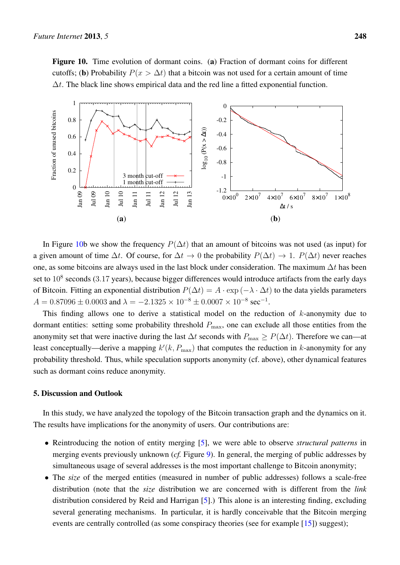<span id="page-11-0"></span>Figure 10. Time evolution of dormant coins. (a) Fraction of dormant coins for different cutoffs; (b) Probability  $P(x > \Delta t)$  that a bitcoin was not used for a certain amount of time  $\Delta t$ . The black line shows empirical data and the red line a fitted exponential function.



In Figure [10b](#page-11-0) we show the frequency  $P(\Delta t)$  that an amount of bitcoins was not used (as input) for a given amount of time  $\Delta t$ . Of course, for  $\Delta t \to 0$  the probability  $P(\Delta t) \to 1$ .  $P(\Delta t)$  never reaches one, as some bitcoins are always used in the last block under consideration. The maximum  $\Delta t$  has been set to  $10^8$  seconds (3.17 years), because bigger differences would introduce artifacts from the early days of Bitcoin. Fitting an exponential distribution  $P(\Delta t) = A \cdot \exp(-\lambda \cdot \Delta t)$  to the data yields parameters  $A = 0.87096 \pm 0.0003$  and  $\lambda = -2.1325 \times 10^{-8} \pm 0.0007 \times 10^{-8}$  sec<sup>-1</sup>.

This finding allows one to derive a statistical model on the reduction of  $k$ -anonymity due to dormant entities: setting some probability threshold  $P_{\text{max}}$ , one can exclude all those entities from the anonymity set that were inactive during the last  $\Delta t$  seconds with  $P_{\text{max}} \ge P(\Delta t)$ . Therefore we can—at least conceptually—derive a mapping  $k'(k, P_{\text{max}})$  that computes the reduction in k-anonymity for any probability threshold. Thus, while speculation supports anonymity (cf. above), other dynamical features such as dormant coins reduce anonymity.

#### 5. Discussion and Outlook

In this study, we have analyzed the topology of the Bitcoin transaction graph and the dynamics on it. The results have implications for the anonymity of users. Our contributions are:

- Reintroducing the notion of entity merging [\[5\]](#page-12-4), we were able to observe *structural patterns* in merging events previously unknown (*cf.* Figure [9\)](#page-10-1). In general, the merging of public addresses by simultaneous usage of several addresses is the most important challenge to Bitcoin anonymity;
- The *size* of the merged entities (measured in number of public addresses) follows a scale-free distribution (note that the *size* distribution we are concerned with is different from the *link* distribution considered by Reid and Harrigan [\[5\]](#page-12-4).) This alone is an interesting finding, excluding several generating mechanisms. In particular, it is hardly conceivable that the Bitcoin merging events are centrally controlled (as some conspiracy theories (see for example [\[15\]](#page-13-3)) suggest);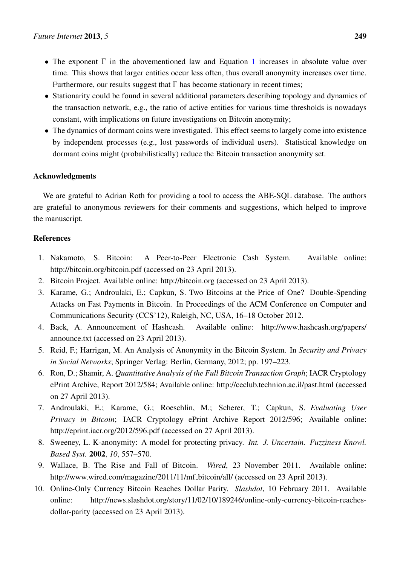- The exponent  $\Gamma$  in the abovementioned law and Equation [1](#page-3-1) increases in absolute value over time. This shows that larger entities occur less often, thus overall anonymity increases over time. Furthermore, our results suggest that  $\Gamma$  has become stationary in recent times;
- Stationarity could be found in several additional parameters describing topology and dynamics of the transaction network, e.g., the ratio of active entities for various time thresholds is nowadays constant, with implications on future investigations on Bitcoin anonymity;
- The dynamics of dormant coins were investigated. This effect seems to largely come into existence by independent processes (e.g., lost passwords of individual users). Statistical knowledge on dormant coins might (probabilistically) reduce the Bitcoin transaction anonymity set.

# Acknowledgments

We are grateful to Adrian Roth for providing a tool to access the ABE-SQL database. The authors are grateful to anonymous reviewers for their comments and suggestions, which helped to improve the manuscript.

# References

- <span id="page-12-0"></span>1. Nakamoto, S. Bitcoin: A Peer-to-Peer Electronic Cash System. Available online: http://bitcoin.org/bitcoin.pdf (accessed on 23 April 2013).
- <span id="page-12-1"></span>2. Bitcoin Project. Available online: <http://bitcoin.org> (accessed on 23 April 2013).
- <span id="page-12-2"></span>3. Karame, G.; Androulaki, E.; Capkun, S. Two Bitcoins at the Price of One? Double-Spending Attacks on Fast Payments in Bitcoin. In Proceedings of the ACM Conference on Computer and Communications Security (CCS'12), Raleigh, NC, USA, 16–18 October 2012.
- <span id="page-12-3"></span>4. Back, A. Announcement of Hashcash. Available online: [http://www.hashcash.org/papers/](http://www.hashcash.org/papers/announce.txt) [announce.txt](http://www.hashcash.org/papers/announce.txt) (accessed on 23 April 2013).
- <span id="page-12-4"></span>5. Reid, F.; Harrigan, M. An Analysis of Anonymity in the Bitcoin System. In *Security and Privacy in Social Networks*; Springer Verlag: Berlin, Germany, 2012; pp. 197–223.
- <span id="page-12-5"></span>6. Ron, D.; Shamir, A. *Quantitative Analysis of the Full Bitcoin Transaction Graph*; IACR Cryptology ePrint Archive, Report 2012/584; Available online: http://ceclub.technion.ac.il/past.html (accessed on 27 April 2013).
- <span id="page-12-6"></span>7. Androulaki, E.; Karame, G.; Roeschlin, M.; Scherer, T.; Capkun, S. *Evaluating User Privacy in Bitcoin*; IACR Cryptology ePrint Archive Report 2012/596; Available online: http://eprint.iacr.org/2012/596.pdf (accessed on 27 April 2013).
- <span id="page-12-7"></span>8. Sweeney, L. K-anonymity: A model for protecting privacy. *Int. J. Uncertain. Fuzziness Knowl. Based Syst.* 2002, *10*, 557–570.
- <span id="page-12-8"></span>9. Wallace, B. The Rise and Fall of Bitcoin. *Wired*, 23 November 2011. Available online: [http://www.wired.com/magazine/2011/11/mf](http://www.wired.com/magazine/2011/11/mf_bitcoin/all/)\_bitcoin/all/ (accessed on 23 April 2013).
- <span id="page-12-9"></span>10. Online-Only Currency Bitcoin Reaches Dollar Parity. *Slashdot*, 10 February 2011. Available online: http://news.slashdot.org/story/11/02/10/189246/online-only-currency-bitcoin-reachesdollar-parity (accessed on 23 April 2013).